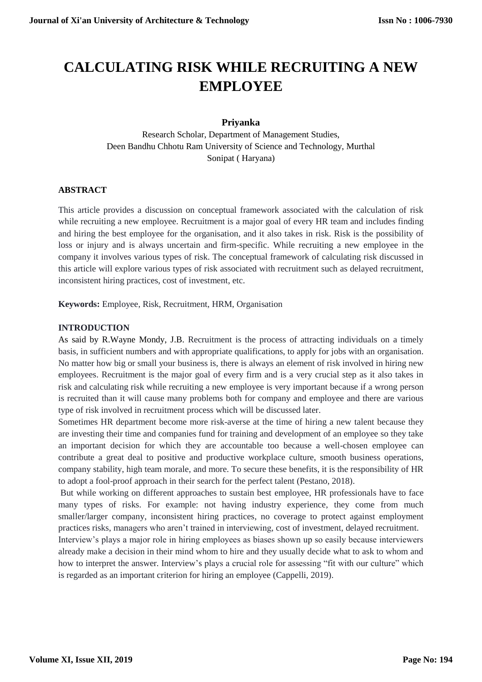# **CALCULATING RISK WHILE RECRUITING A NEW EMPLOYEE**

## **Priyanka**

Research Scholar, Department of Management Studies, Deen Bandhu Chhotu Ram University of Science and Technology, Murthal Sonipat ( Haryana)

## **ABSTRACT**

This article provides a discussion on conceptual framework associated with the calculation of risk while recruiting a new employee. Recruitment is a major goal of every HR team and includes finding and hiring the best employee for the organisation, and it also takes in risk. Risk is the possibility of loss or injury and is always uncertain and firm-specific. While recruiting a new employee in the company it involves various types of risk. The conceptual framework of calculating risk discussed in this article will explore various types of risk associated with recruitment such as delayed recruitment, inconsistent hiring practices, cost of investment, etc.

**Keywords:** Employee, Risk, Recruitment, HRM, Organisation

#### **INTRODUCTION**

As said by R.Wayne Mondy, J.B. Recruitment is the process of attracting individuals on a timely basis, in sufficient numbers and with appropriate qualifications, to apply for jobs with an organisation. No matter how big or small your business is, there is always an element of risk involved in hiring new employees. Recruitment is the major goal of every firm and is a very crucial step as it also takes in risk and calculating risk while recruiting a new employee is very important because if a wrong person is recruited than it will cause many problems both for company and employee and there are various type of risk involved in recruitment process which will be discussed later.

Sometimes HR department become more risk-averse at the time of hiring a new talent because they are investing their time and companies fund for training and development of an employee so they take an important decision for which they are accountable too because a well-chosen employee can contribute a great deal to positive and productive workplace culture, smooth business operations, company stability, high team morale, and more. To secure these benefits, it is the responsibility of HR to adopt a fool-proof approach in their search for the perfect talent (Pestano, 2018).

But while working on different approaches to sustain best employee, HR professionals have to face many types of risks. For example: not having industry experience, they come from much smaller/larger company, inconsistent hiring practices, no coverage to protect against employment practices risks, managers who aren't trained in interviewing, cost of investment, delayed recruitment.

Interview's plays a major role in hiring employees as biases shown up so easily because interviewers already make a decision in their mind whom to hire and they usually decide what to ask to whom and how to interpret the answer. Interview's plays a crucial role for assessing "fit with our culture" which is regarded as an important criterion for hiring an employee (Cappelli, 2019).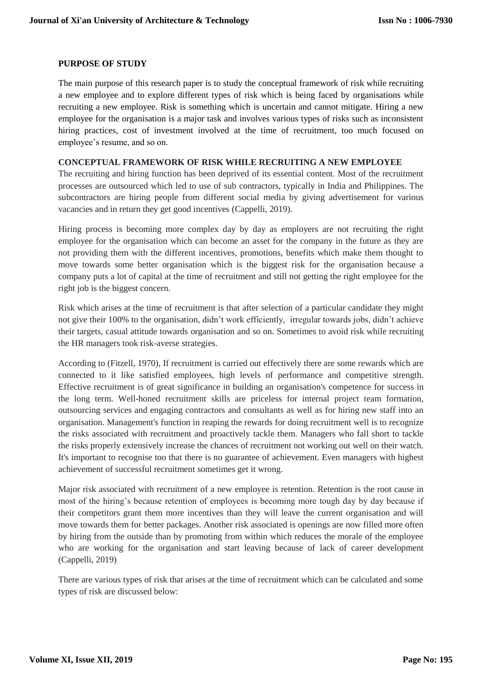#### **PURPOSE OF STUDY**

The main purpose of this research paper is to study the conceptual framework of risk while recruiting a new employee and to explore different types of risk which is being faced by organisations while recruiting a new employee. Risk is something which is uncertain and cannot mitigate. Hiring a new employee for the organisation is a major task and involves various types of risks such as inconsistent hiring practices, cost of investment involved at the time of recruitment, too much focused on employee's resume, and so on.

#### **CONCEPTUAL FRAMEWORK OF RISK WHILE RECRUITING A NEW EMPLOYEE**

The recruiting and hiring function has been deprived of its essential content. Most of the recruitment processes are outsourced which led to use of sub contractors, typically in India and Philippines. The subcontractors are hiring people from different social media by giving advertisement for various vacancies and in return they get good incentives (Cappelli, 2019).

Hiring process is becoming more complex day by day as employers are not recruiting the right employee for the organisation which can become an asset for the company in the future as they are not providing them with the different incentives, promotions, benefits which make them thought to move towards some better organisation which is the biggest risk for the organisation because a company puts a lot of capital at the time of recruitment and still not getting the right employee for the right job is the biggest concern.

Risk which arises at the time of recruitment is that after selection of a particular candidate they might not give their 100% to the organisation, didn't work efficiently, irregular towards jobs, didn't achieve their targets, casual attitude towards organisation and so on. Sometimes to avoid risk while recruiting the HR managers took risk-averse strategies.

According to (Fitzell, 1970), If recruitment is carried out effectively there are some rewards which are connected to it like satisfied employees, high levels of performance and competitive strength. Effective recruitment is of great significance in building an organisation's competence for success in the long term. Well-honed recruitment skills are priceless for internal project team formation, outsourcing services and engaging contractors and consultants as well as for hiring new staff into an organisation. Management's function in reaping the rewards for doing recruitment well is to recognize the risks associated with recruitment and proactively tackle them. Managers who fall short to tackle the risks properly extensively increase the chances of recruitment not working out well on their watch. It's important to recognise too that there is no guarantee of achievement. Even managers with highest achievement of successful recruitment sometimes get it wrong.

Major risk associated with recruitment of a new employee is retention. Retention is the root cause in most of the hiring's because retention of employees is becoming more tough day by day because if their competitors grant them more incentives than they will leave the current organisation and will move towards them for better packages. Another risk associated is openings are now filled more often by hiring from the outside than by promoting from within which reduces the morale of the employee who are working for the organisation and start leaving because of lack of career development (Cappelli, 2019)

There are various types of risk that arises at the time of recruitment which can be calculated and some types of risk are discussed below: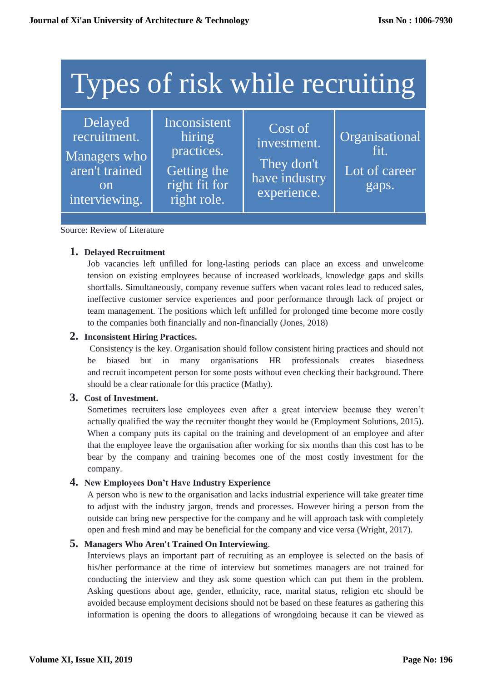| Types of risk while recruiting                                                          |                                                                                     |                                                                        |                                                  |
|-----------------------------------------------------------------------------------------|-------------------------------------------------------------------------------------|------------------------------------------------------------------------|--------------------------------------------------|
| Delayed<br>recruitment.<br>Managers who<br>aren't trained<br><b>on</b><br>interviewing. | Inconsistent<br>hiring<br>practices.<br>Getting the<br>right fit for<br>right role. | $Cost$ of<br>investment.<br>They don't<br>have industry<br>experience. | Organisational<br>fit.<br>Lot of career<br>gaps. |

Source: Review of Literature

## **1. Delayed Recruitment**

Job vacancies left unfilled for long-lasting periods can place an excess and unwelcome tension on existing employees because of increased workloads, knowledge gaps and skills shortfalls. Simultaneously, company revenue suffers when vacant roles lead to reduced sales, ineffective customer service experiences and poor performance through lack of project or team management. The positions which left unfilled for prolonged time become more costly to the companies both financially and non-financially (Jones, 2018)

#### **2. Inconsistent Hiring Practices.**

Consistency is the key. Organisation should follow consistent hiring practices and should not be biased but in many organisations HR professionals creates biasedness and recruit incompetent person for some posts without even checking their background. There should be a clear rationale for this practice (Mathy).

## **3. Cost of Investment.**

Sometimes recruiters lose employees even after a great interview because they weren't actually qualified the way the recruiter thought they would be (Employment Solutions, 2015). When a company puts its capital on the training and development of an employee and after that the employee leave the organisation after working for six months than this cost has to be bear by the company and training becomes one of the most costly investment for the company.

#### **4. New Employees Don't Have Industry Experience**

A person who is new to the organisation and lacks industrial experience will take greater time to adjust with the industry jargon, trends and processes. However hiring a person from the outside can bring new perspective for the company and he will approach task with completely open and fresh mind and may be beneficial for the company and vice versa (Wright, 2017).

## **5. Managers Who Aren't Trained On Interviewing**.

Interviews plays an important part of recruiting as an employee is selected on the basis of his/her performance at the time of interview but sometimes managers are not trained for conducting the interview and they ask some question which can put them in the problem. Asking questions about age, gender, ethnicity, race, marital status, religion etc should be avoided because employment decisions should not be based on these features as gathering this information is opening the doors to allegations of wrongdoing because it can be viewed as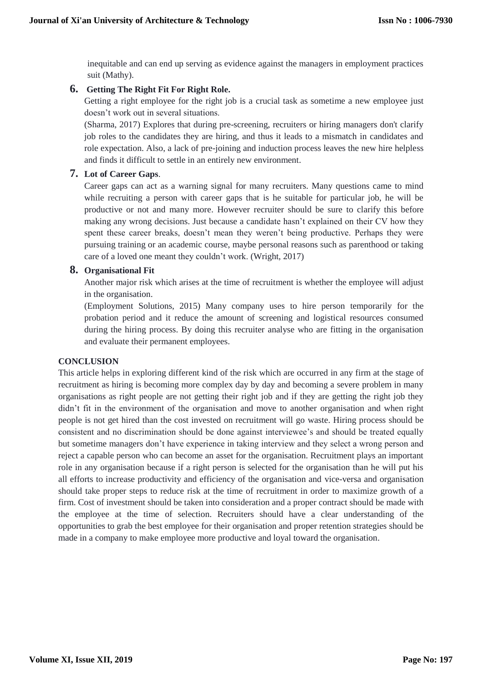inequitable and can end up serving as evidence against the managers in employment practices suit (Mathy).

## **6. Getting The Right Fit For Right Role.**

Getting a right employee for the right job is a crucial task as sometime a new employee just doesn't work out in several situations.

(Sharma, 2017) Explores that during pre-screening, recruiters or hiring managers don't clarify job roles to the candidates they are hiring, and thus it leads to a mismatch in candidates and role expectation. Also, a lack of pre-joining and induction process leaves the new hire helpless and finds it difficult to settle in an entirely new environment.

## **7. Lot of Career Gaps**.

Career gaps can act as a warning signal for many recruiters. Many questions came to mind while recruiting a person with career gaps that is he suitable for particular job, he will be productive or not and many more. However recruiter should be sure to clarify this before making any wrong decisions. Just because a candidate hasn't explained on their CV how they spent these career breaks, doesn't mean they weren't being productive. Perhaps they were pursuing training or an academic course, maybe personal reasons such as parenthood or taking care of a loved one meant they couldn't work. (Wright, 2017)

## **8. Organisational Fit**

Another major risk which arises at the time of recruitment is whether the employee will adjust in the organisation.

(Employment Solutions, 2015) Many company uses to hire person temporarily for the probation period and it reduce the amount of screening and logistical resources consumed during the hiring process. By doing this recruiter analyse who are fitting in the organisation and evaluate their permanent employees.

## **CONCLUSION**

This article helps in exploring different kind of the risk which are occurred in any firm at the stage of recruitment as hiring is becoming more complex day by day and becoming a severe problem in many organisations as right people are not getting their right job and if they are getting the right job they didn't fit in the environment of the organisation and move to another organisation and when right people is not get hired than the cost invested on recruitment will go waste. Hiring process should be consistent and no discrimination should be done against interviewee's and should be treated equally but sometime managers don't have experience in taking interview and they select a wrong person and reject a capable person who can become an asset for the organisation. Recruitment plays an important role in any organisation because if a right person is selected for the organisation than he will put his all efforts to increase productivity and efficiency of the organisation and vice-versa and organisation should take proper steps to reduce risk at the time of recruitment in order to maximize growth of a firm. Cost of investment should be taken into consideration and a proper contract should be made with the employee at the time of selection. Recruiters should have a clear understanding of the opportunities to grab the best employee for their organisation and proper retention strategies should be made in a company to make employee more productive and loyal toward the organisation.